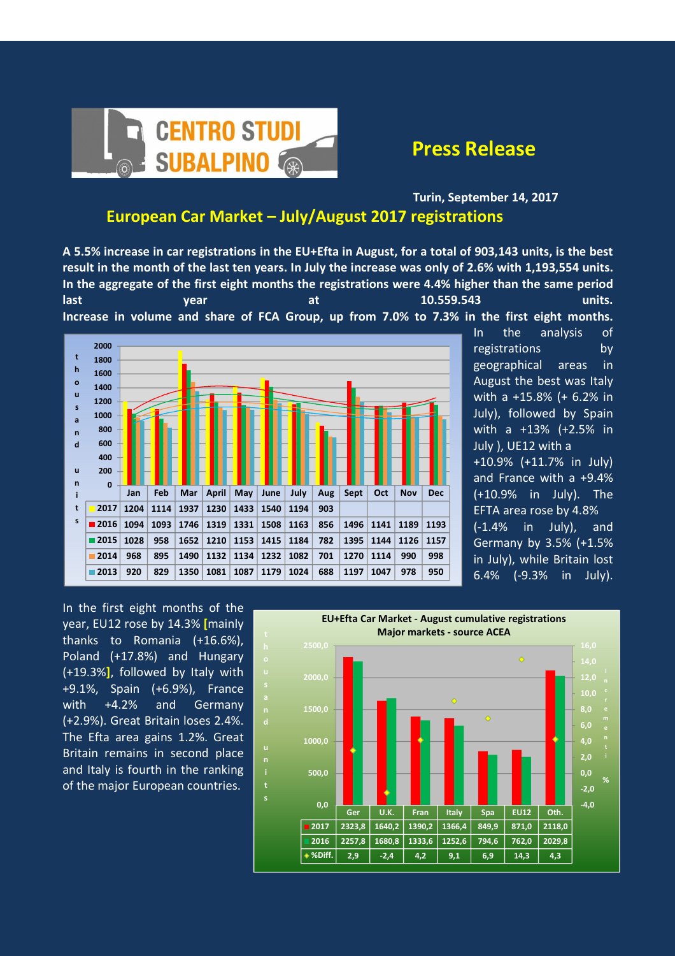

Turin, September 14, 2017

## European Car Market – July/August 2017 registrations

A 5.5% increase in car registrations in the EU+Efta in August, for a total of 903,143 units, is the best result in the month of the last ten years. In July the increase was only of 2.6% with 1,193,554 units. In the aggregate of the first eight months the registrations were 4.4% higher than the same period

last 10.559.543 vear at 10.559.543 Increase in volume and share of FCA Group, up from 7.0% to 7.3% in the first eight months.



In the analysis of registrations by geographical areas in August the best was Italy with a +15.8% (+ 6.2% in July), followed by Spain with a +13% (+2.5% in July ), UE12 with a +10.9% (+11.7% in July) and France with a +9.4% (+10.9% in July). The EFTA area rose by 4.8% (-1.4% in July), and Germany by 3.5% (+1.5% in July), while Britain lost 6.4% (-9.3% in July).

In the first eight months of the year, EU12 rose by 14.3% [mainly thanks to Romania (+16.6%), Poland (+17.8%) and Hungary (+19.3%], followed by Italy with +9.1%, Spain (+6.9%), France with +4.2% and Germany (+2.9%). Great Britain loses 2.4%. The Efta area gains 1.2%. Great Britain remains in second place and Italy is fourth in the ranking of the major European countries.

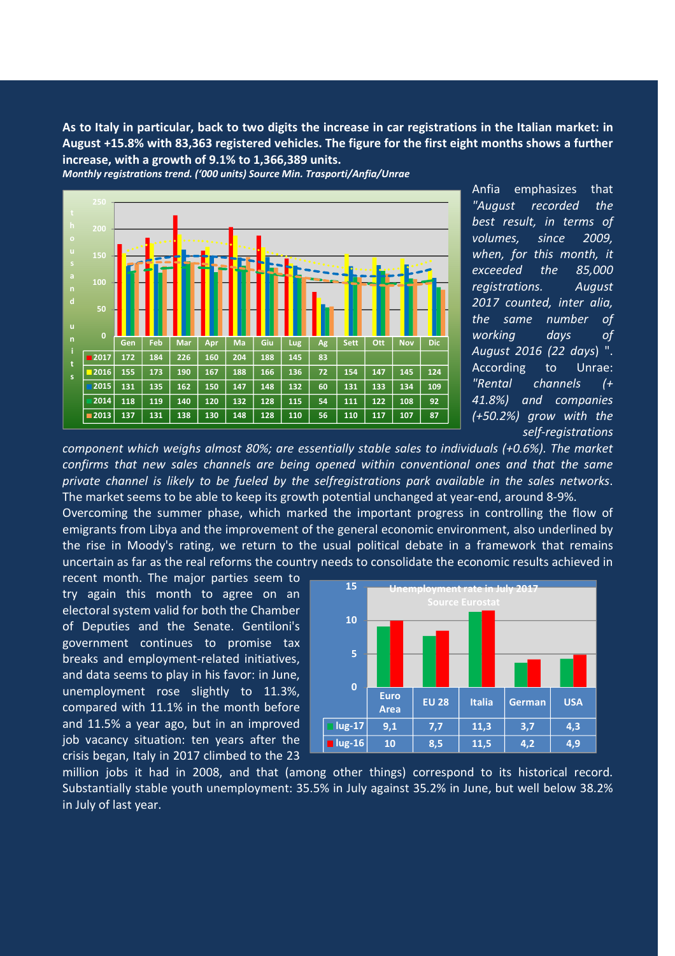As to Italy in particular, back to two digits the increase in car registrations in the Italian market: in August +15.8% with 83,363 registered vehicles. The figure for the first eight months shows a further increase, with a growth of 9.1% to 1,366,389 units.





Anfia emphasizes that "August recorded the best result, in terms of volumes, since 2009, when, for this month, it exceeded the 85,000 registrations. August 2017 counted, inter alia, the same number of working days of August 2016 (22 days) ". According to Unrae: "Rental channels (+ 41.8%) and companies (+50.2%) grow with the self-registrations

component which weighs almost 80%; are essentially stable sales to individuals (+0.6%). The market confirms that new sales channels are being opened within conventional ones and that the same private channel is likely to be fueled by the selfregistrations park available in the sales networks. The market seems to be able to keep its growth potential unchanged at year-end, around 8-9%.

Overcoming the summer phase, which marked the important progress in controlling the flow of emigrants from Libya and the improvement of the general economic environment, also underlined by the rise in Moody's rating, we return to the usual political debate in a framework that remains uncertain as far as the real reforms the country needs to consolidate the economic results achieved in

recent month. The major parties seem to try again this month to agree on an electoral system valid for both the Chamber of Deputies and the Senate. Gentiloni's government continues to promise tax breaks and employment-related initiatives, and data seems to play in his favor: in June, unemployment rose slightly to 11.3%, compared with 11.1% in the month before and 11.5% a year ago, but in an improved job vacancy situation: ten years after the crisis began, Italy in 2017 climbed to the 23



million jobs it had in 2008, and that (among other things) correspond to its historical record. Substantially stable youth unemployment: 35.5% in July against 35.2% in June, but well below 38.2% in July of last year.